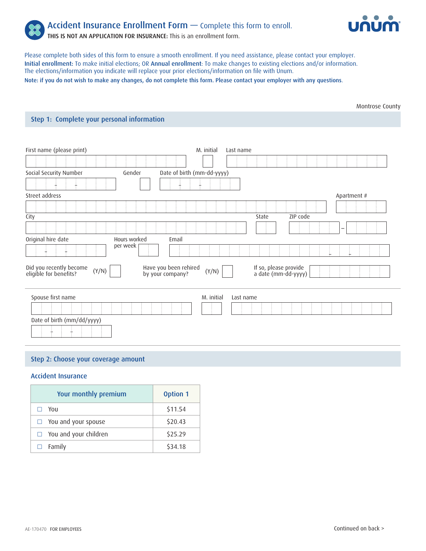



Please complete both sides of this form to ensure a smooth enrollment. If you need assistance, please contact your employer. Initial enrollment: To make initial elections; OR Annual enrollment: To make changes to existing elections and/or information. The elections/information you indicate will replace your prior elections/information on file with Unum. Note: if you do not wish to make any changes, do not complete this form. Please contact your employer with any questions.

Montrose County

## Step 1: Complete your personal information

| First name (please print)                                  |                                           | M. initial | Last name |                                              |          |             |
|------------------------------------------------------------|-------------------------------------------|------------|-----------|----------------------------------------------|----------|-------------|
|                                                            |                                           |            |           |                                              |          |             |
| Social Security Number                                     | Date of birth (mm-dd-yyyy)<br>Gender      |            |           |                                              |          |             |
|                                                            |                                           |            |           |                                              |          |             |
| Street address                                             |                                           |            |           |                                              |          | Apartment # |
|                                                            |                                           |            |           |                                              |          |             |
| City                                                       |                                           |            |           | State                                        | ZIP code |             |
|                                                            |                                           |            |           |                                              |          | -           |
| Original hire date                                         | Email<br>Hours worked                     |            |           |                                              |          |             |
|                                                            | per week                                  |            |           |                                              |          |             |
| Did you recently become<br>eligible for benefits?<br>(Y/N) | Have you been rehired<br>by your company? | (Y/N)      |           | If so, please provide<br>a date (mm-dd-yyyy) |          |             |
| Spouse first name                                          |                                           | M. initial | Last name |                                              |          |             |
|                                                            |                                           |            |           |                                              |          |             |
| Date of birth (mm/dd/yyyy)                                 |                                           |            |           |                                              |          |             |
|                                                            |                                           |            |           |                                              |          |             |

# Step 2: Choose your coverage amount

### Accident Insurance

| Your monthly premium         | <b>Option 1</b> |
|------------------------------|-----------------|
| You                          | \$11.54         |
| $\Box$ You and your spouse   | \$20.43         |
| $\Box$ You and your children | \$25.29         |
| Family                       | \$34.18         |